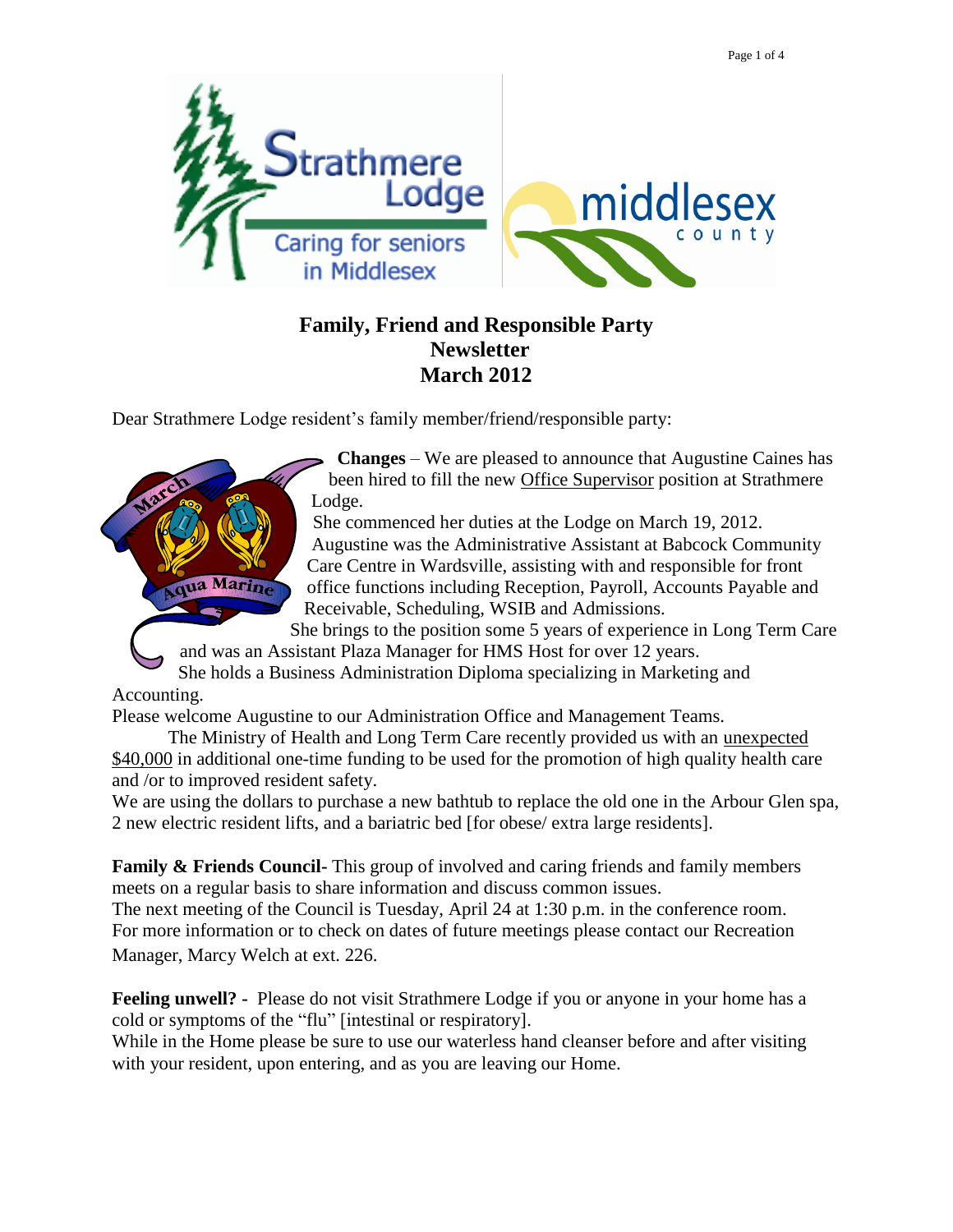

## **Family, Friend and Responsible Party Newsletter March 2012**

Dear Strathmere Lodge resident's family member/friend/responsible party:



**Changes** – We are pleased to announce that Augustine Caines has been hired to fill the new Office Supervisor position at Strathmere Lodge.

She commenced her duties at the Lodge on March 19, 2012. Augustine was the Administrative Assistant at Babcock Community Care Centre in Wardsville, assisting with and responsible for front office functions including Reception, Payroll, Accounts Payable and Receivable, Scheduling, WSIB and Admissions.

She brings to the position some 5 years of experience in Long Term Care and was an Assistant Plaza Manager for HMS Host for over 12 years.

She holds a Business Administration Diploma specializing in Marketing and

Accounting.

Please welcome Augustine to our Administration Office and Management Teams.

The Ministry of Health and Long Term Care recently provided us with an unexpected \$40,000 in additional one-time funding to be used for the promotion of high quality health care and /or to improved resident safety.

We are using the dollars to purchase a new bathtub to replace the old one in the Arbour Glen spa, 2 new electric resident lifts, and a bariatric bed [for obese/ extra large residents].

**Family & Friends Council-** This group of involved and caring friends and family members meets on a regular basis to share information and discuss common issues.

The next meeting of the Council is Tuesday, April 24 at 1:30 p.m. in the conference room. For more information or to check on dates of future meetings please contact our Recreation Manager, Marcy Welch at ext. 226.

**Feeling unwell? -** Please do not visit Strathmere Lodge if you or anyone in your home has a cold or symptoms of the "flu" [intestinal or respiratory].

While in the Home please be sure to use our waterless hand cleanser before and after visiting with your resident, upon entering, and as you are leaving our Home.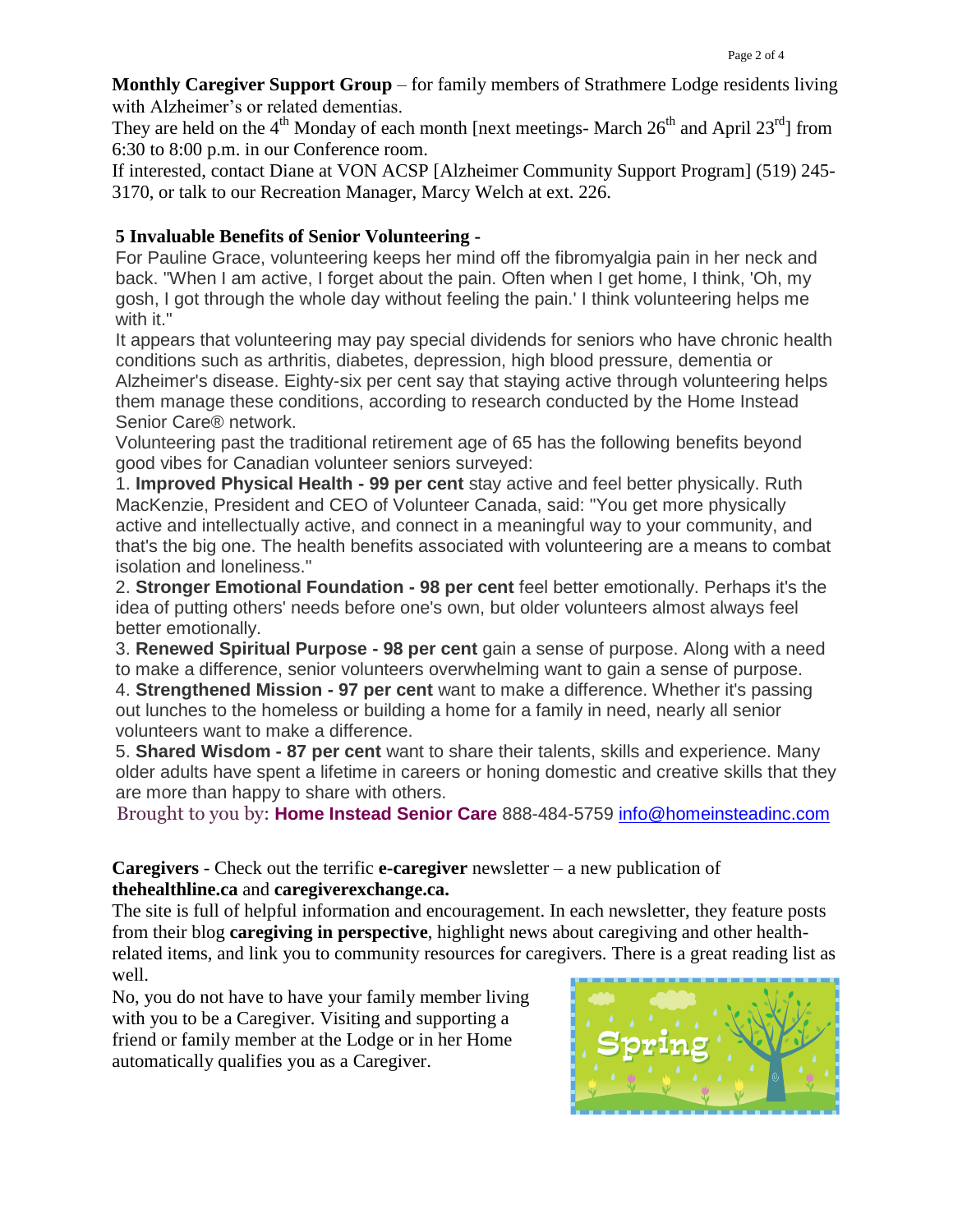**Monthly Caregiver Support Group** – for family members of Strathmere Lodge residents living with Alzheimer's or related dementias.

They are held on the  $4<sup>th</sup>$  Monday of each month [next meetings- March  $26<sup>th</sup>$  and April  $23<sup>rd</sup>$ ] from 6:30 to 8:00 p.m. in our Conference room.

If interested, contact Diane at VON ACSP [Alzheimer Community Support Program] (519) 245- 3170, or talk to our Recreation Manager, Marcy Welch at ext. 226.

## **[5 Invaluable Benefits of Senior Volunteering](http://cl.exct.net/?qs=5bdf3013e899ac9e45da8ecd9084688909cf7bff4dc999089de154900672dd9d) -**

For Pauline Grace, volunteering keeps her mind off the fibromyalgia pain in her neck and back. "When I am active, I forget about the pain. Often when I get home, I think, 'Oh, my gosh, I got through the whole day without feeling the pain.' I think volunteering helps me with it."

It appears that volunteering may pay special dividends for seniors who have chronic health conditions such as arthritis, diabetes, depression, high blood pressure, dementia or Alzheimer's disease. Eighty-six per cent say that staying active through volunteering helps them manage these conditions, according to research conducted by the Home Instead Senior Care® network.

Volunteering past the traditional retirement age of 65 has the following benefits beyond good vibes for Canadian volunteer seniors surveyed:

1. **Improved Physical Health - 99 per cent** stay active and feel better physically. Ruth MacKenzie, President and CEO of Volunteer Canada, said: "You get more physically active and intellectually active, and connect in a meaningful way to your community, and that's the big one. The health benefits associated with volunteering are a means to combat isolation and loneliness."

2. **Stronger Emotional Foundation - 98 per cent** feel better emotionally. Perhaps it's the idea of putting others' needs before one's own, but older volunteers almost always feel better emotionally.

3. **Renewed Spiritual Purpose - 98 per cent** gain a sense of purpose. Along with a need to make a difference, senior volunteers overwhelming want to gain a sense of purpose. 4. **Strengthened Mission - 97 per cent** want to make a difference. Whether it's passing out lunches to the homeless or building a home for a family in need, nearly all senior volunteers want to make a difference.

5. **Shared Wisdom - 87 per cent** want to share their talents, skills and experience. Many older adults have spent a lifetime in careers or honing domestic and creative skills that they are more than happy to share with others.

Brought to you by: **[Home Instead Senior Care](http://cl.exct.net/?qs=5bdf3013e899ac9eb09740f2899a3ee7a0d20e0c0072cd74404337ff67d80f66)** 888-484-5759 [info@homeinsteadinc.com](mailto:info@homeinsteadinc.com)

**Caregivers** - Check out the terrific **e-caregiver** newsletter – a new publication of **thehealthline.ca** and **caregiverexchange.ca.**

The site is full of helpful information and encouragement. In each newsletter, they feature posts from their blog **caregiving in perspective**, highlight news about caregiving and other healthrelated items, and link you to community resources for caregivers. There is a great reading list as well.

No, you do not have to have your family member living with you to be a Caregiver. Visiting and supporting a friend or family member at the Lodge or in her Home automatically qualifies you as a Caregiver.

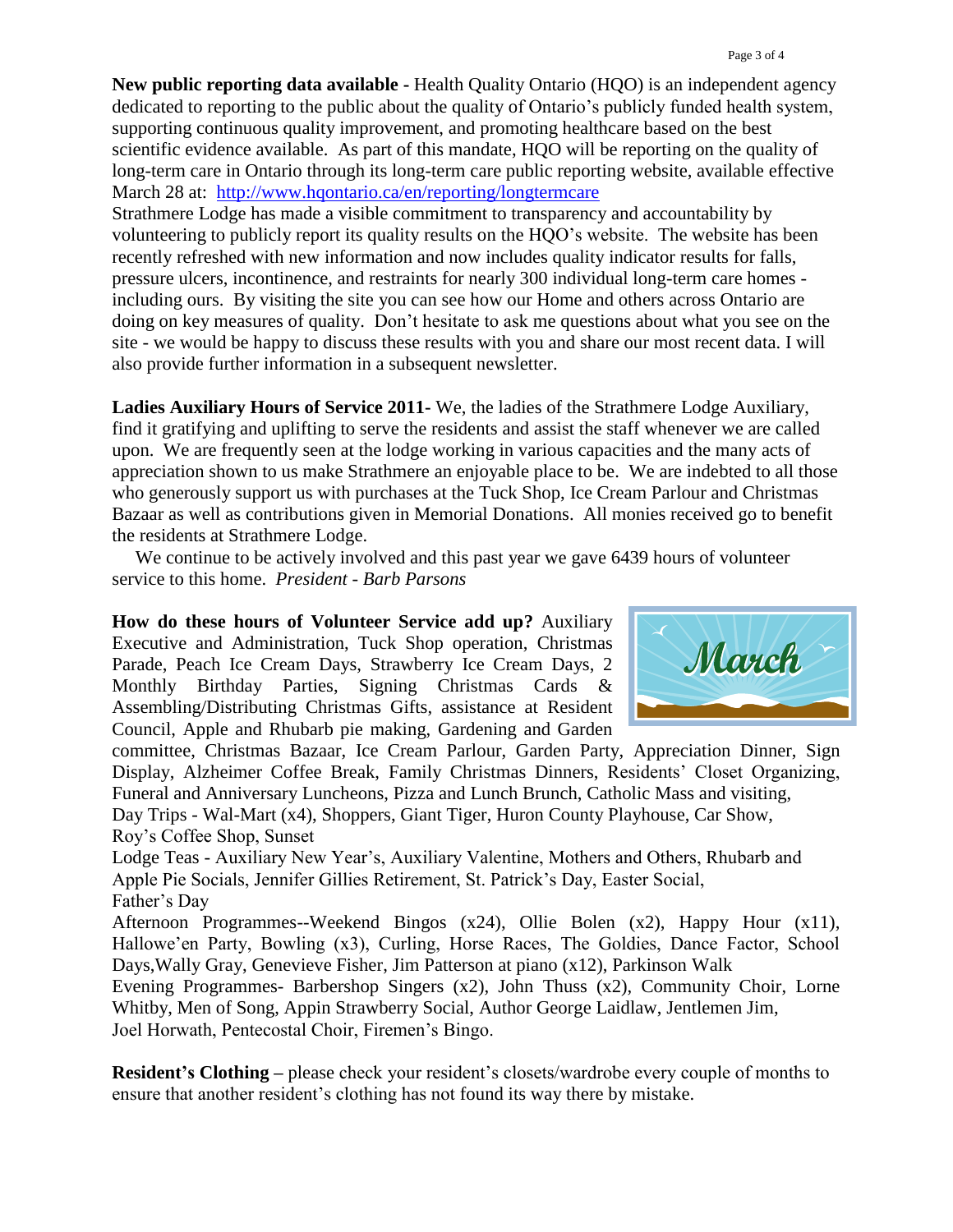**New public reporting data available -** Health Quality Ontario (HQO) is an independent agency dedicated to reporting to the public about the quality of Ontario's publicly funded health system, supporting continuous quality improvement, and promoting healthcare based on the best scientific evidence available. As part of this mandate, HQO will be reporting on the quality of long-term care in Ontario through its long-term care public reporting website, available effective March 28 at: <http://www.hqontario.ca/en/reporting/longtermcare>

Strathmere Lodge has made a visible commitment to transparency and accountability by volunteering to publicly report its quality results on the HQO's website. The website has been recently refreshed with new information and now includes quality indicator results for falls, pressure ulcers, incontinence, and restraints for nearly 300 individual long-term care homes including ours. By visiting the site you can see how our Home and others across Ontario are doing on key measures of quality. Don't hesitate to ask me questions about what you see on the site - we would be happy to discuss these results with you and share our most recent data. I will also provide further information in a subsequent newsletter.

**Ladies Auxiliary Hours of Service 2011-** We, the ladies of the Strathmere Lodge Auxiliary, find it gratifying and uplifting to serve the residents and assist the staff whenever we are called upon. We are frequently seen at the lodge working in various capacities and the many acts of appreciation shown to us make Strathmere an enjoyable place to be. We are indebted to all those who generously support us with purchases at the Tuck Shop, Ice Cream Parlour and Christmas Bazaar as well as contributions given in Memorial Donations. All monies received go to benefit the residents at Strathmere Lodge.

We continue to be actively involved and this past year we gave 6439 hours of volunteer service to this home. *President - Barb Parsons*

**How do these hours of Volunteer Service add up?** Auxiliary Executive and Administration, Tuck Shop operation, Christmas Parade, Peach Ice Cream Days, Strawberry Ice Cream Days, 2 Monthly Birthday Parties, Signing Christmas Cards & Assembling/Distributing Christmas Gifts, assistance at Resident Council, Apple and Rhubarb pie making, Gardening and Garden



committee, Christmas Bazaar, Ice Cream Parlour, Garden Party, Appreciation Dinner, Sign Display, Alzheimer Coffee Break, Family Christmas Dinners, Residents' Closet Organizing, Funeral and Anniversary Luncheons, Pizza and Lunch Brunch, Catholic Mass and visiting, Day Trips - Wal-Mart (x4), Shoppers, Giant Tiger, Huron County Playhouse, Car Show, Roy's Coffee Shop, Sunset

Lodge Teas - Auxiliary New Year's, Auxiliary Valentine, Mothers and Others, Rhubarb and Apple Pie Socials, Jennifer Gillies Retirement, St. Patrick's Day, Easter Social, Father's Day

Afternoon Programmes--Weekend Bingos (x24), Ollie Bolen (x2), Happy Hour (x11), Hallowe'en Party, Bowling (x3), Curling, Horse Races, The Goldies, Dance Factor, School Days,Wally Gray, Genevieve Fisher, Jim Patterson at piano (x12), Parkinson Walk

Evening Programmes- Barbershop Singers (x2), John Thuss (x2), Community Choir, Lorne Whitby, Men of Song, Appin Strawberry Social, Author George Laidlaw, Jentlemen Jim, Joel Horwath, Pentecostal Choir, Firemen's Bingo.

**Resident's Clothing –** please check your resident's closets/wardrobe every couple of months to ensure that another resident's clothing has not found its way there by mistake.